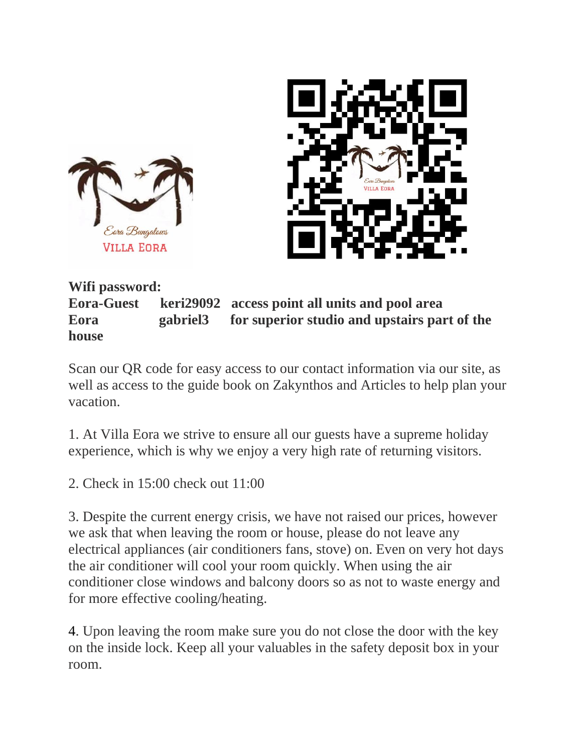



**Wifi password: Eora-Guest keri29092 access point all units and pool area Eora gabriel3 for superior studio and upstairs part of the house**

Scan our QR code for easy access to our contact information via our site, as well as access to the guide book on Zakynthos and Articles to help plan your vacation.

1. At Villa Eora we strive to ensure all our guests have a supreme holiday experience, which is why we enjoy a very high rate of returning visitors.

2. Check in 15:00 check out 11:00

3. Despite the current energy crisis, we have not raised our prices, however we ask that when leaving the room or house, please do not leave any electrical appliances (air conditioners fans, stove) on. Even on very hot days the air conditioner will cool your room quickly. When using the air conditioner close windows and balcony doors so as not to waste energy and for more effective cooling/heating.

4. Upon leaving the room make sure you do not close the door with the key on the inside lock. Keep all your valuables in the safety deposit box in your room.